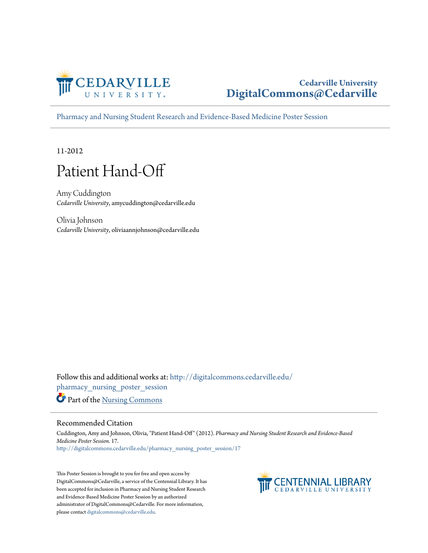

#### **Cedarville University [DigitalCommons@Cedarville](http://digitalcommons.cedarville.edu?utm_source=digitalcommons.cedarville.edu%2Fpharmacy_nursing_poster_session%2F17&utm_medium=PDF&utm_campaign=PDFCoverPages)**

[Pharmacy and Nursing Student Research and Evidence-Based Medicine Poster Session](http://digitalcommons.cedarville.edu/pharmacy_nursing_poster_session?utm_source=digitalcommons.cedarville.edu%2Fpharmacy_nursing_poster_session%2F17&utm_medium=PDF&utm_campaign=PDFCoverPages)

11-2012

#### Patient Hand-Off

Amy Cuddington *Cedarville University*, amycuddington@cedarville.edu

Olivia Johnson *Cedarville University*, oliviaannjohnson@cedarville.edu

Follow this and additional works at: [http://digitalcommons.cedarville.edu/](http://digitalcommons.cedarville.edu/pharmacy_nursing_poster_session?utm_source=digitalcommons.cedarville.edu%2Fpharmacy_nursing_poster_session%2F17&utm_medium=PDF&utm_campaign=PDFCoverPages) [pharmacy\\_nursing\\_poster\\_session](http://digitalcommons.cedarville.edu/pharmacy_nursing_poster_session?utm_source=digitalcommons.cedarville.edu%2Fpharmacy_nursing_poster_session%2F17&utm_medium=PDF&utm_campaign=PDFCoverPages) Part of the [Nursing Commons](http://network.bepress.com/hgg/discipline/718?utm_source=digitalcommons.cedarville.edu%2Fpharmacy_nursing_poster_session%2F17&utm_medium=PDF&utm_campaign=PDFCoverPages)

#### Recommended Citation

Cuddington, Amy and Johnson, Olivia, "Patient Hand-Off" (2012). *Pharmacy and Nursing Student Research and Evidence-Based Medicine Poster Session*. 17. [http://digitalcommons.cedarville.edu/pharmacy\\_nursing\\_poster\\_session/17](http://digitalcommons.cedarville.edu/pharmacy_nursing_poster_session/17?utm_source=digitalcommons.cedarville.edu%2Fpharmacy_nursing_poster_session%2F17&utm_medium=PDF&utm_campaign=PDFCoverPages)

This Poster Session is brought to you for free and open access by DigitalCommons@Cedarville, a service of the Centennial Library. It has been accepted for inclusion in Pharmacy and Nursing Student Research and Evidence-Based Medicine Poster Session by an authorized administrator of DigitalCommons@Cedarville. For more information, please contact [digitalcommons@cedarville.edu.](mailto:digitalcommons@cedarville.edu)